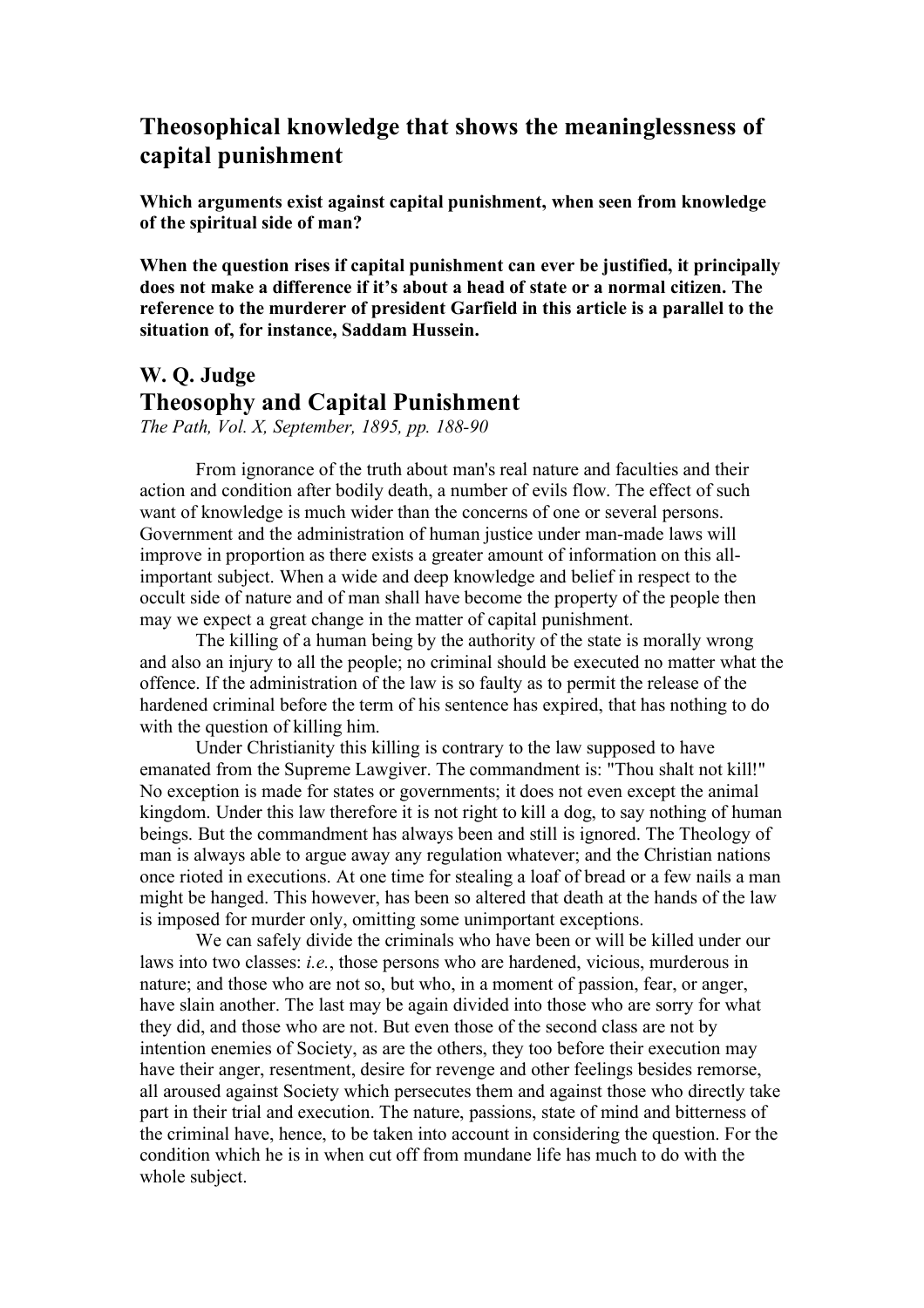## **Theosophical knowledge that shows the meaninglessness of capital punishment**

**Which arguments exist against capital punishment, when seen from knowledge of the spiritual side of man?**

**When the question rises if capital punishment can ever be justified, it principally does not make a difference if it's about a head of state or a normal citizen. The reference to the murderer of president Garfield in this article is a parallel to the situation of, for instance, Saddam Hussein.**

## **W. Q. Judge Theosophy and Capital Punishment**

*The Path, Vol. X, September, 1895, pp. 188-90*

From ignorance of the truth about man's real nature and faculties and their action and condition after bodily death, a number of evils flow. The effect of such want of knowledge is much wider than the concerns of one or several persons. Government and the administration of human justice under man-made laws will improve in proportion as there exists a greater amount of information on this allimportant subject. When a wide and deep knowledge and belief in respect to the occult side of nature and of man shall have become the property of the people then may we expect a great change in the matter of capital punishment.

The killing of a human being by the authority of the state is morally wrong and also an injury to all the people; no criminal should be executed no matter what the offence. If the administration of the law is so faulty as to permit the release of the hardened criminal before the term of his sentence has expired, that has nothing to do with the question of killing him.

Under Christianity this killing is contrary to the law supposed to have emanated from the Supreme Lawgiver. The commandment is: "Thou shalt not kill!" No exception is made for states or governments; it does not even except the animal kingdom. Under this law therefore it is not right to kill a dog, to say nothing of human beings. But the commandment has always been and still is ignored. The Theology of man is always able to argue away any regulation whatever; and the Christian nations once rioted in executions. At one time for stealing a loaf of bread or a few nails a man might be hanged. This however, has been so altered that death at the hands of the law is imposed for murder only, omitting some unimportant exceptions.

We can safely divide the criminals who have been or will be killed under our laws into two classes: *i.e.*, those persons who are hardened, vicious, murderous in nature; and those who are not so, but who, in a moment of passion, fear, or anger, have slain another. The last may be again divided into those who are sorry for what they did, and those who are not. But even those of the second class are not by intention enemies of Society, as are the others, they too before their execution may have their anger, resentment, desire for revenge and other feelings besides remorse, all aroused against Society which persecutes them and against those who directly take part in their trial and execution. The nature, passions, state of mind and bitterness of the criminal have, hence, to be taken into account in considering the question. For the condition which he is in when cut off from mundane life has much to do with the whole subject.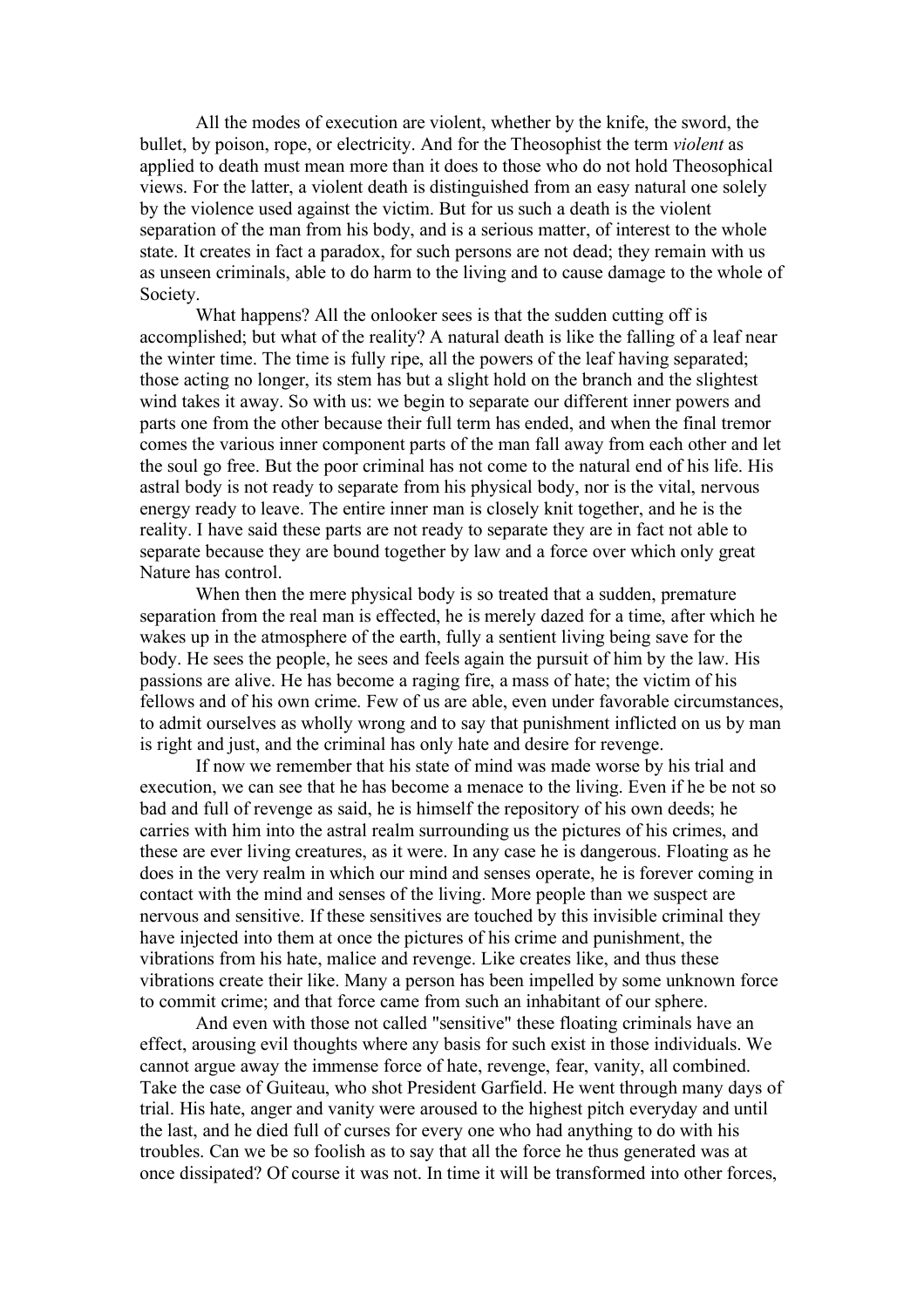All the modes of execution are violent, whether by the knife, the sword, the bullet, by poison, rope, or electricity. And for the Theosophist the term *violent* as applied to death must mean more than it does to those who do not hold Theosophical views. For the latter, a violent death is distinguished from an easy natural one solely by the violence used against the victim. But for us such a death is the violent separation of the man from his body, and is a serious matter, of interest to the whole state. It creates in fact a paradox, for such persons are not dead; they remain with us as unseen criminals, able to do harm to the living and to cause damage to the whole of Society.

What happens? All the onlooker sees is that the sudden cutting off is accomplished; but what of the reality? A natural death is like the falling of a leaf near the winter time. The time is fully ripe, all the powers of the leaf having separated; those acting no longer, its stem has but a slight hold on the branch and the slightest wind takes it away. So with us: we begin to separate our different inner powers and parts one from the other because their full term has ended, and when the final tremor comes the various inner component parts of the man fall away from each other and let the soul go free. But the poor criminal has not come to the natural end of his life. His astral body is not ready to separate from his physical body, nor is the vital, nervous energy ready to leave. The entire inner man is closely knit together, and he is the reality. I have said these parts are not ready to separate they are in fact not able to separate because they are bound together by law and a force over which only great Nature has control.

When then the mere physical body is so treated that a sudden, premature separation from the real man is effected, he is merely dazed for a time, after which he wakes up in the atmosphere of the earth, fully a sentient living being save for the body. He sees the people, he sees and feels again the pursuit of him by the law. His passions are alive. He has become a raging fire, a mass of hate; the victim of his fellows and of his own crime. Few of us are able, even under favorable circumstances, to admit ourselves as wholly wrong and to say that punishment inflicted on us by man is right and just, and the criminal has only hate and desire for revenge.

If now we remember that his state of mind was made worse by his trial and execution, we can see that he has become a menace to the living. Even if he be not so bad and full of revenge as said, he is himself the repository of his own deeds; he carries with him into the astral realm surrounding us the pictures of his crimes, and these are ever living creatures, as it were. In any case he is dangerous. Floating as he does in the very realm in which our mind and senses operate, he is forever coming in contact with the mind and senses of the living. More people than we suspect are nervous and sensitive. If these sensitives are touched by this invisible criminal they have injected into them at once the pictures of his crime and punishment, the vibrations from his hate, malice and revenge. Like creates like, and thus these vibrations create their like. Many a person has been impelled by some unknown force to commit crime; and that force came from such an inhabitant of our sphere.

And even with those not called "sensitive" these floating criminals have an effect, arousing evil thoughts where any basis for such exist in those individuals. We cannot argue away the immense force of hate, revenge, fear, vanity, all combined. Take the case of Guiteau, who shot President Garfield. He went through many days of trial. His hate, anger and vanity were aroused to the highest pitch everyday and until the last, and he died full of curses for every one who had anything to do with his troubles. Can we be so foolish as to say that all the force he thus generated was at once dissipated? Of course it was not. In time it will be transformed into other forces,